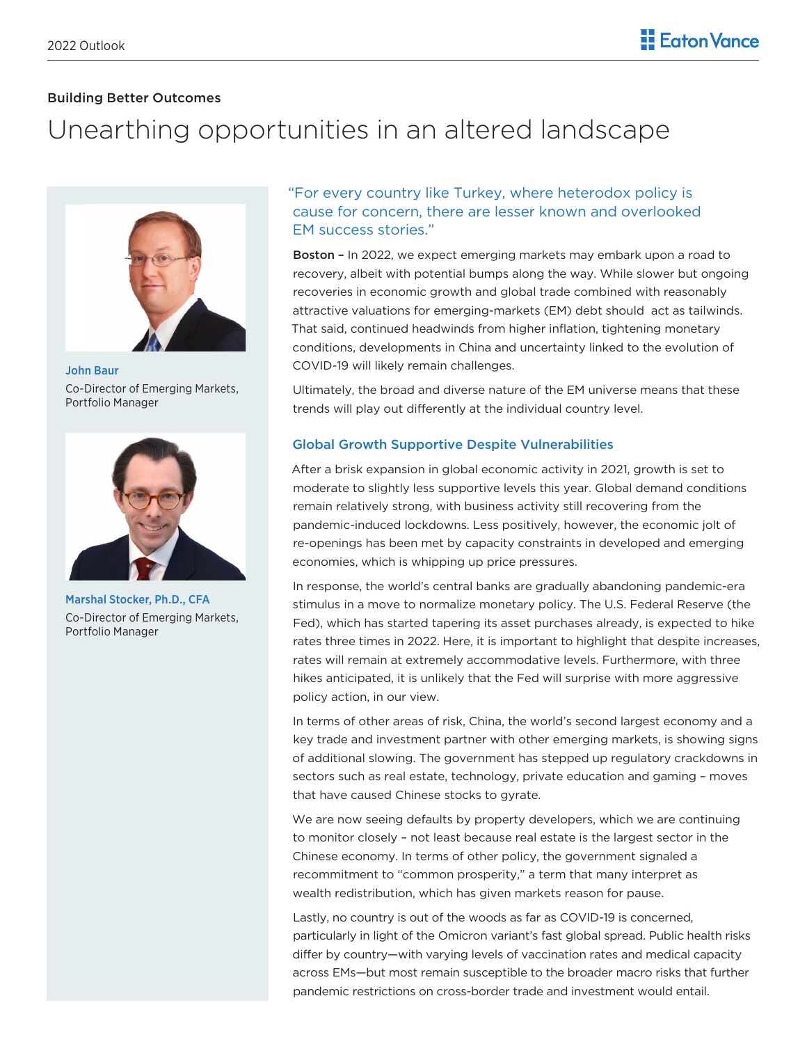# Building Better Outcomes

# Unearthing opportunities in an altered landscape



John Baur Co-Director of Emerging Markets, Portfolio Manager



Marshal Stocker, Ph.D., CFA Co-Director of Emerging Markets, Portfolio Manager

# "For every country like Turkey, where heterodox policy is cause for concern, there are lesser known and overlooked EM success stories."

Boston – In 2022, we expect emerging markets may embark upon a road to recovery, albeit with potential bumps along the way. While slower but ongoing recoveries in economic growth and global trade combined with reasonably attractive valuations for emerging-markets (EM) debt should act as tailwinds. That said, continued headwinds from higher inflation, tightening monetary conditions, developments in China and uncertainty linked to the evolution of COVID-19 will likely remain challenges.

Ultimately, the broad and diverse nature of the EM universe means that these trends will play out differently at the individual country level.

## Global Growth Supportive Despite Vulnerabilities

After a brisk expansion in global economic activity in 2021, growth is set to moderate to slightly less supportive levels this year. Global demand conditions remain relatively strong, with business activity still recovering from the pandemic-induced lockdowns. Less positively, however, the economic jolt of re-openings has been met by capacity constraints in developed and emerging economies, which is whipping up price pressures.

In response, the world's central banks are gradually abandoning pandemic-era stimulus in a move to normalize monetary policy. The U.S. Federal Reserve (the Fed), which has started tapering its asset purchases already, is expected to hike rates three times in 2022. Here, it is important to highlight that despite increases, rates will remain at extremely accommodative levels. Furthermore, with three hikes anticipated, it is unlikely that the Fed will surprise with more aggressive policy action, in our view.

In terms of other areas of risk, China, the world's second largest economy and a key trade and investment partner with other emerging markets, is showing signs of additional slowing. The government has stepped up regulatory crackdowns in sectors such as real estate, technology, private education and gaming – moves that have caused Chinese stocks to gyrate.

We are now seeing defaults by property developers, which we are continuing to monitor closely – not least because real estate is the largest sector in the Chinese economy. In terms of other policy, the government signaled a recommitment to "common prosperity," a term that many interpret as wealth redistribution, which has given markets reason for pause.

Lastly, no country is out of the woods as far as COVID-19 is concerned, particularly in light of the Omicron variant's fast global spread. Public health risks differ by country—with varying levels of vaccination rates and medical capacity across EMs—but most remain susceptible to the broader macro risks that further pandemic restrictions on cross-border trade and investment would entail.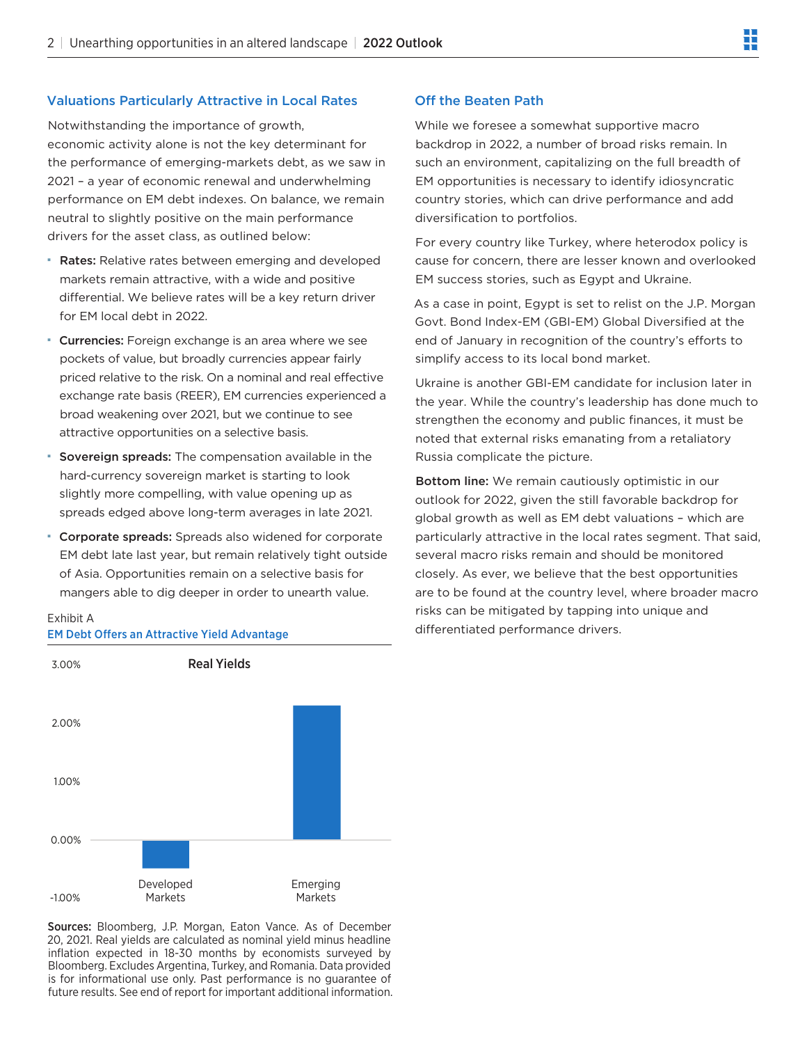## Valuations Particularly Attractive in Local Rates

Notwithstanding the importance of growth, economic activity alone is not the key determinant for the performance of emerging-markets debt, as we saw in 2021 – a year of economic renewal and underwhelming performance on EM debt indexes. On balance, we remain neutral to slightly positive on the main performance drivers for the asset class, as outlined below:

- **Rates:** Relative rates between emerging and developed markets remain attractive, with a wide and positive differential. We believe rates will be a key return driver for EM local debt in 2022.
- **Currencies:** Foreign exchange is an area where we see pockets of value, but broadly currencies appear fairly priced relative to the risk. On a nominal and real effective exchange rate basis (REER), EM currencies experienced a broad weakening over 2021, but we continue to see attractive opportunities on a selective basis.
- **Sovereign spreads:** The compensation available in the hard-currency sovereign market is starting to look slightly more compelling, with value opening up as spreads edged above long-term averages in late 2021.
- **Corporate spreads:** Spreads also widened for corporate EM debt late last year, but remain relatively tight outside of Asia. Opportunities remain on a selective basis for mangers able to dig deeper in order to unearth value.

EM Debt Offers an Attractive Yield Advantage EM Debt Offers an Attractive Yield Advantage

Exhibit A

# -1.00% 0.00% 1.00% 2.00% 3.00% Developed Markets Emerging Markets Real Yields

Sources: Bloomberg, J.P. Morgan, Eaton Vance. As of December 20, 2021. Real yields are calculated as nominal yield minus headline inflation expected in 18-30 months by economists surveyed by Bloomberg. Excludes Argentina, Turkey, and Romania. Data provided is for informational use only. Past performance is no guarantee of future results. See end of report for important additional information.

### Off the Beaten Path

While we foresee a somewhat supportive macro backdrop in 2022, a number of broad risks remain. In such an environment, capitalizing on the full breadth of EM opportunities is necessary to identify idiosyncratic country stories, which can drive performance and add diversification to portfolios.

For every country like Turkey, where heterodox policy is cause for concern, there are lesser known and overlooked EM success stories, such as Egypt and Ukraine.

As a case in point, Egypt is set to relist on the J.P. Morgan Govt. Bond Index-EM (GBI-EM) Global Diversified at the end of January in recognition of the country's efforts to simplify access to its local bond market.

Ukraine is another GBI-EM candidate for inclusion later in the year. While the country's leadership has done much to strengthen the economy and public finances, it must be noted that external risks emanating from a retaliatory Russia complicate the picture.

Bottom line: We remain cautiously optimistic in our outlook for 2022, given the still favorable backdrop for global growth as well as EM debt valuations – which are particularly attractive in the local rates segment. That said, several macro risks remain and should be monitored closely. As ever, we believe that the best opportunities are to be found at the country level, where broader macro risks can be mitigated by tapping into unique and differentiated performance drivers.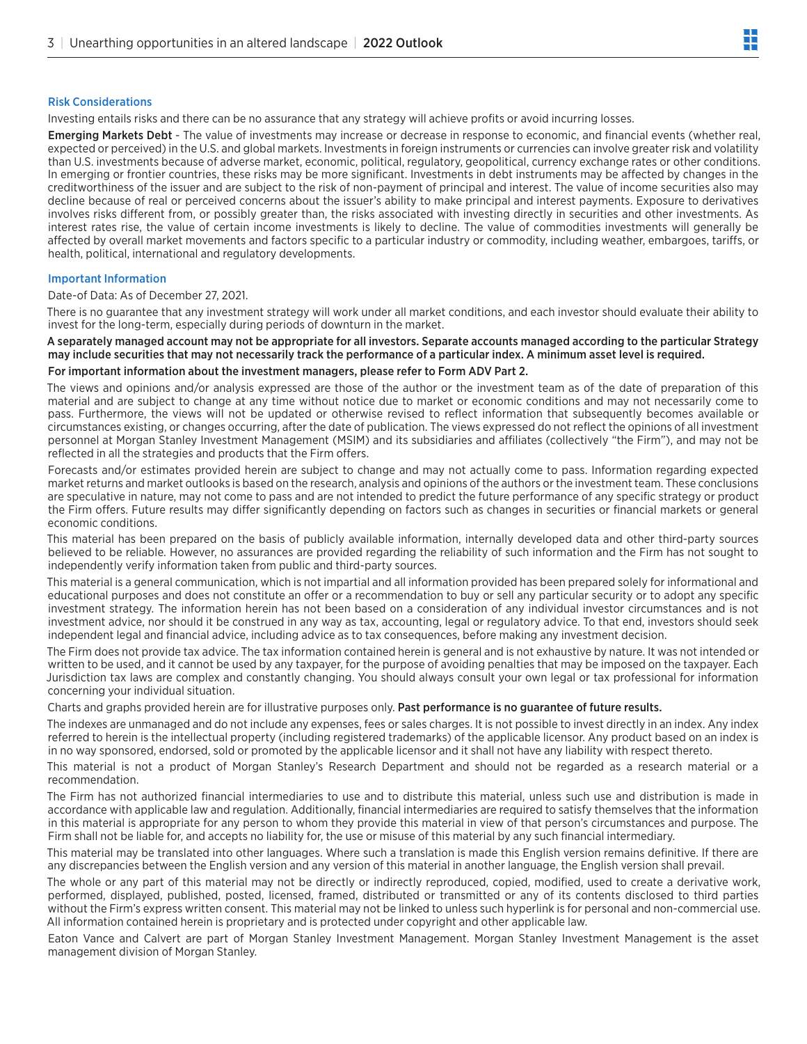#### Risk Considerations

Investing entails risks and there can be no assurance that any strategy will achieve profits or avoid incurring losses.

Emerging Markets Debt - The value of investments may increase or decrease in response to economic, and financial events (whether real, expected or perceived) in the U.S. and global markets. Investments in foreign instruments or currencies can involve greater risk and volatility than U.S. investments because of adverse market, economic, political, regulatory, geopolitical, currency exchange rates or other conditions. In emerging or frontier countries, these risks may be more significant. Investments in debt instruments may be affected by changes in the creditworthiness of the issuer and are subject to the risk of non-payment of principal and interest. The value of income securities also may decline because of real or perceived concerns about the issuer's ability to make principal and interest payments. Exposure to derivatives involves risks different from, or possibly greater than, the risks associated with investing directly in securities and other investments. As interest rates rise, the value of certain income investments is likely to decline. The value of commodities investments will generally be affected by overall market movements and factors specific to a particular industry or commodity, including weather, embargoes, tariffs, or health, political, international and regulatory developments.

#### Important Information

Date-of Data: As of December 27, 2021.

There is no guarantee that any investment strategy will work under all market conditions, and each investor should evaluate their ability to invest for the long-term, especially during periods of downturn in the market.

#### A separately managed account may not be appropriate for all investors. Separate accounts managed according to the particular Strategy may include securities that may not necessarily track the performance of a particular index. A minimum asset level is required.

#### For important information about the investment managers, please refer to Form ADV Part 2.

The views and opinions and/or analysis expressed are those of the author or the investment team as of the date of preparation of this material and are subject to change at any time without notice due to market or economic conditions and may not necessarily come to pass. Furthermore, the views will not be updated or otherwise revised to reflect information that subsequently becomes available or circumstances existing, or changes occurring, after the date of publication. The views expressed do not reflect the opinions of all investment personnel at Morgan Stanley Investment Management (MSIM) and its subsidiaries and affiliates (collectively "the Firm"), and may not be reflected in all the strategies and products that the Firm offers.

Forecasts and/or estimates provided herein are subject to change and may not actually come to pass. Information regarding expected market returns and market outlooks is based on the research, analysis and opinions of the authors or the investment team. These conclusions are speculative in nature, may not come to pass and are not intended to predict the future performance of any specific strategy or product the Firm offers. Future results may differ significantly depending on factors such as changes in securities or financial markets or general economic conditions.

This material has been prepared on the basis of publicly available information, internally developed data and other third-party sources believed to be reliable. However, no assurances are provided regarding the reliability of such information and the Firm has not sought to independently verify information taken from public and third-party sources.

This material is a general communication, which is not impartial and all information provided has been prepared solely for informational and educational purposes and does not constitute an offer or a recommendation to buy or sell any particular security or to adopt any specific investment strategy. The information herein has not been based on a consideration of any individual investor circumstances and is not investment advice, nor should it be construed in any way as tax, accounting, legal or regulatory advice. To that end, investors should seek independent legal and financial advice, including advice as to tax consequences, before making any investment decision.

The Firm does not provide tax advice. The tax information contained herein is general and is not exhaustive by nature. It was not intended or written to be used, and it cannot be used by any taxpayer, for the purpose of avoiding penalties that may be imposed on the taxpayer. Each Jurisdiction tax laws are complex and constantly changing. You should always consult your own legal or tax professional for information concerning your individual situation.

Charts and graphs provided herein are for illustrative purposes only. Past performance is no guarantee of future results.

The indexes are unmanaged and do not include any expenses, fees or sales charges. It is not possible to invest directly in an index. Any index referred to herein is the intellectual property (including registered trademarks) of the applicable licensor. Any product based on an index is in no way sponsored, endorsed, sold or promoted by the applicable licensor and it shall not have any liability with respect thereto.

This material is not a product of Morgan Stanley's Research Department and should not be regarded as a research material or a recommendation.

The Firm has not authorized financial intermediaries to use and to distribute this material, unless such use and distribution is made in accordance with applicable law and regulation. Additionally, financial intermediaries are required to satisfy themselves that the information in this material is appropriate for any person to whom they provide this material in view of that person's circumstances and purpose. The Firm shall not be liable for, and accepts no liability for, the use or misuse of this material by any such financial intermediary.

This material may be translated into other languages. Where such a translation is made this English version remains definitive. If there are any discrepancies between the English version and any version of this material in another language, the English version shall prevail.

The whole or any part of this material may not be directly or indirectly reproduced, copied, modified, used to create a derivative work, performed, displayed, published, posted, licensed, framed, distributed or transmitted or any of its contents disclosed to third parties without the Firm's express written consent. This material may not be linked to unless such hyperlink is for personal and non-commercial use. All information contained herein is proprietary and is protected under copyright and other applicable law.

Eaton Vance and Calvert are part of Morgan Stanley Investment Management. Morgan Stanley Investment Management is the asset management division of Morgan Stanley.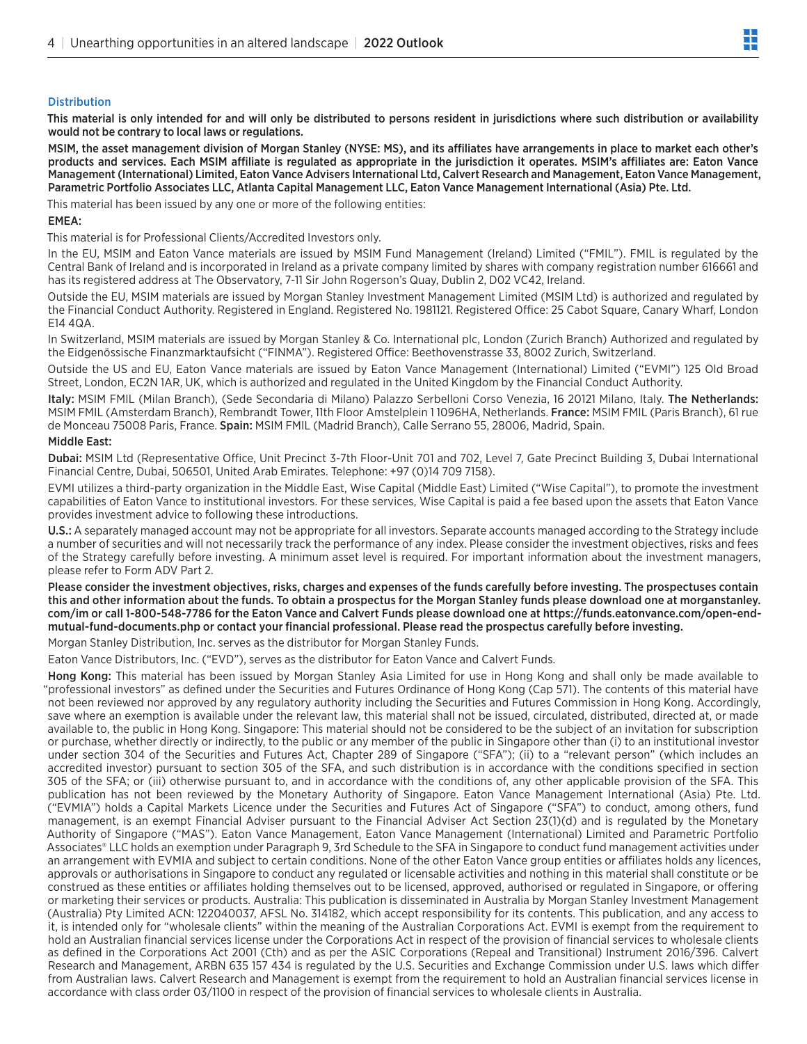#### **Distribution**

This material is only intended for and will only be distributed to persons resident in jurisdictions where such distribution or availability would not be contrary to local laws or regulations.

MSIM, the asset management division of Morgan Stanley (NYSE: MS), and its affiliates have arrangements in place to market each other's products and services. Each MSIM affiliate is regulated as appropriate in the jurisdiction it operates. MSIM's affiliates are: Eaton Vance Management (International) Limited, Eaton Vance Advisers International Ltd, Calvert Research and Management, Eaton Vance Management, Parametric Portfolio Associates LLC, Atlanta Capital Management LLC, Eaton Vance Management International (Asia) Pte. Ltd.

This material has been issued by any one or more of the following entities:

#### EMEA:

This material is for Professional Clients/Accredited Investors only.

In the EU, MSIM and Eaton Vance materials are issued by MSIM Fund Management (Ireland) Limited ("FMIL"). FMIL is regulated by the Central Bank of Ireland and is incorporated in Ireland as a private company limited by shares with company registration number 616661 and has its registered address at The Observatory, 7-11 Sir John Rogerson's Quay, Dublin 2, D02 VC42, Ireland.

Outside the EU, MSIM materials are issued by Morgan Stanley Investment Management Limited (MSIM Ltd) is authorized and regulated by the Financial Conduct Authority. Registered in England. Registered No. 1981121. Registered Office: 25 Cabot Square, Canary Wharf, London E14 4QA.

In Switzerland, MSIM materials are issued by Morgan Stanley & Co. International plc, London (Zurich Branch) Authorized and regulated by the Eidgenössische Finanzmarktaufsicht ("FINMA"). Registered Office: Beethovenstrasse 33, 8002 Zurich, Switzerland.

Outside the US and EU, Eaton Vance materials are issued by Eaton Vance Management (International) Limited ("EVMI") 125 Old Broad Street, London, EC2N 1AR, UK, which is authorized and regulated in the United Kingdom by the Financial Conduct Authority.

Italy: MSIM FMIL (Milan Branch), (Sede Secondaria di Milano) Palazzo Serbelloni Corso Venezia, 16 20121 Milano, Italy. The Netherlands: MSIM FMIL (Amsterdam Branch), Rembrandt Tower, 11th Floor Amstelplein 11096HA, Netherlands. France: MSIM FMIL (Paris Branch), 61 rue de Monceau 75008 Paris, France. Spain: MSIM FMIL (Madrid Branch), Calle Serrano 55, 28006, Madrid, Spain.

#### Middle East:

Dubai: MSIM Ltd (Representative Office, Unit Precinct 3-7th Floor-Unit 701 and 702, Level 7, Gate Precinct Building 3, Dubai International Financial Centre, Dubai, 506501, United Arab Emirates. Telephone: +97 (0)14 709 7158).

EVMI utilizes a third-party organization in the Middle East, Wise Capital (Middle East) Limited ("Wise Capital"), to promote the investment capabilities of Eaton Vance to institutional investors. For these services, Wise Capital is paid a fee based upon the assets that Eaton Vance provides investment advice to following these introductions.

U.S.: A separately managed account may not be appropriate for all investors. Separate accounts managed according to the Strategy include a number of securities and will not necessarily track the performance of any index. Please consider the investment objectives, risks and fees of the Strategy carefully before investing. A minimum asset level is required. For important information about the investment managers, please refer to Form ADV Part 2.

Please consider the investment objectives, risks, charges and expenses of the funds carefully before investing. The prospectuses contain this and other information about the funds. To obtain a prospectus for the Morgan Stanley funds please download one at morganstanley. com/im or call 1-800-548-7786 for the Eaton Vance and Calvert Funds please download one at https://funds.eatonvance.com/open-endmutual-fund-documents.php or contact your financial professional. Please read the prospectus carefully before investing.

Morgan Stanley Distribution, Inc. serves as the distributor for Morgan Stanley Funds.

Eaton Vance Distributors, Inc. ("EVD"), serves as the distributor for Eaton Vance and Calvert Funds.

Hong Kong: This material has been issued by Morgan Stanley Asia Limited for use in Hong Kong and shall only be made available to "professional investors" as defined under the Securities and Futures Ordinance of Hong Kong (Cap 571). The contents of this material have not been reviewed nor approved by any regulatory authority including the Securities and Futures Commission in Hong Kong. Accordingly, save where an exemption is available under the relevant law, this material shall not be issued, circulated, distributed, directed at, or made available to, the public in Hong Kong. Singapore: This material should not be considered to be the subject of an invitation for subscription or purchase, whether directly or indirectly, to the public or any member of the public in Singapore other than (i) to an institutional investor under section 304 of the Securities and Futures Act, Chapter 289 of Singapore ("SFA"); (ii) to a "relevant person" (which includes an accredited investor) pursuant to section 305 of the SFA, and such distribution is in accordance with the conditions specified in section 305 of the SFA; or (iii) otherwise pursuant to, and in accordance with the conditions of, any other applicable provision of the SFA. This publication has not been reviewed by the Monetary Authority of Singapore. Eaton Vance Management International (Asia) Pte. Ltd. ("EVMIA") holds a Capital Markets Licence under the Securities and Futures Act of Singapore ("SFA") to conduct, among others, fund management, is an exempt Financial Adviser pursuant to the Financial Adviser Act Section 23(1)(d) and is regulated by the Monetary Authority of Singapore ("MAS"). Eaton Vance Management, Eaton Vance Management (International) Limited and Parametric Portfolio Associates® LLC holds an exemption under Paragraph 9, 3rd Schedule to the SFA in Singapore to conduct fund management activities under an arrangement with EVMIA and subject to certain conditions. None of the other Eaton Vance group entities or affiliates holds any licences, approvals or authorisations in Singapore to conduct any regulated or licensable activities and nothing in this material shall constitute or be construed as these entities or affiliates holding themselves out to be licensed, approved, authorised or regulated in Singapore, or offering or marketing their services or products. Australia: This publication is disseminated in Australia by Morgan Stanley Investment Management (Australia) Pty Limited ACN: 122040037, AFSL No. 314182, which accept responsibility for its contents. This publication, and any access to it, is intended only for "wholesale clients" within the meaning of the Australian Corporations Act. EVMI is exempt from the requirement to hold an Australian financial services license under the Corporations Act in respect of the provision of financial services to wholesale clients as defined in the Corporations Act 2001 (Cth) and as per the ASIC Corporations (Repeal and Transitional) Instrument 2016/396. Calvert Research and Management, ARBN 635 157 434 is regulated by the U.S. Securities and Exchange Commission under U.S. laws which differ from Australian laws. Calvert Research and Management is exempt from the requirement to hold an Australian financial services license in accordance with class order 03/1100 in respect of the provision of financial services to wholesale clients in Australia.